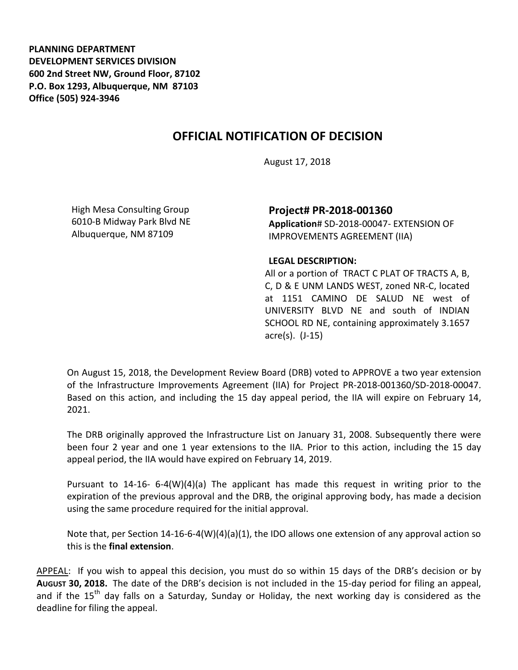**PLANNING DEPARTMENT DEVELOPMENT SERVICES DIVISION 600 2nd Street NW, Ground Floor, 87102 P.O. Box 1293, Albuquerque, NM 87103 Office (505) 924-3946** 

## **OFFICIAL NOTIFICATION OF DECISION**

August 17, 2018

High Mesa Consulting Group 6010-B Midway Park Blvd NE Albuquerque, NM 87109

**Project# PR-2018-001360 Application**# SD-2018-00047- EXTENSION OF IMPROVEMENTS AGREEMENT (IIA)

## **LEGAL DESCRIPTION:**

All or a portion of TRACT C PLAT OF TRACTS A, B, C, D & E UNM LANDS WEST, zoned NR-C, located at 1151 CAMINO DE SALUD NE west of UNIVERSITY BLVD NE and south of INDIAN SCHOOL RD NE, containing approximately 3.1657 acre(s). (J-15)

On August 15, 2018, the Development Review Board (DRB) voted to APPROVE a two year extension of the Infrastructure Improvements Agreement (IIA) for Project PR-2018-001360/SD-2018-00047. Based on this action, and including the 15 day appeal period, the IIA will expire on February 14, 2021.

The DRB originally approved the Infrastructure List on January 31, 2008. Subsequently there were been four 2 year and one 1 year extensions to the IIA. Prior to this action, including the 15 day appeal period, the IIA would have expired on February 14, 2019.

Pursuant to 14-16- 6-4(W)(4)(a) The applicant has made this request in writing prior to the expiration of the previous approval and the DRB, the original approving body, has made a decision using the same procedure required for the initial approval.

Note that, per Section 14-16-6-4(W)(4)(a)(1), the IDO allows one extension of any approval action so this is the **final extension**.

APPEAL: If you wish to appeal this decision, you must do so within 15 days of the DRB's decision or by **AUGUST 30, 2018.** The date of the DRB's decision is not included in the 15-day period for filing an appeal, and if the  $15<sup>th</sup>$  day falls on a Saturday, Sunday or Holiday, the next working day is considered as the deadline for filing the appeal.